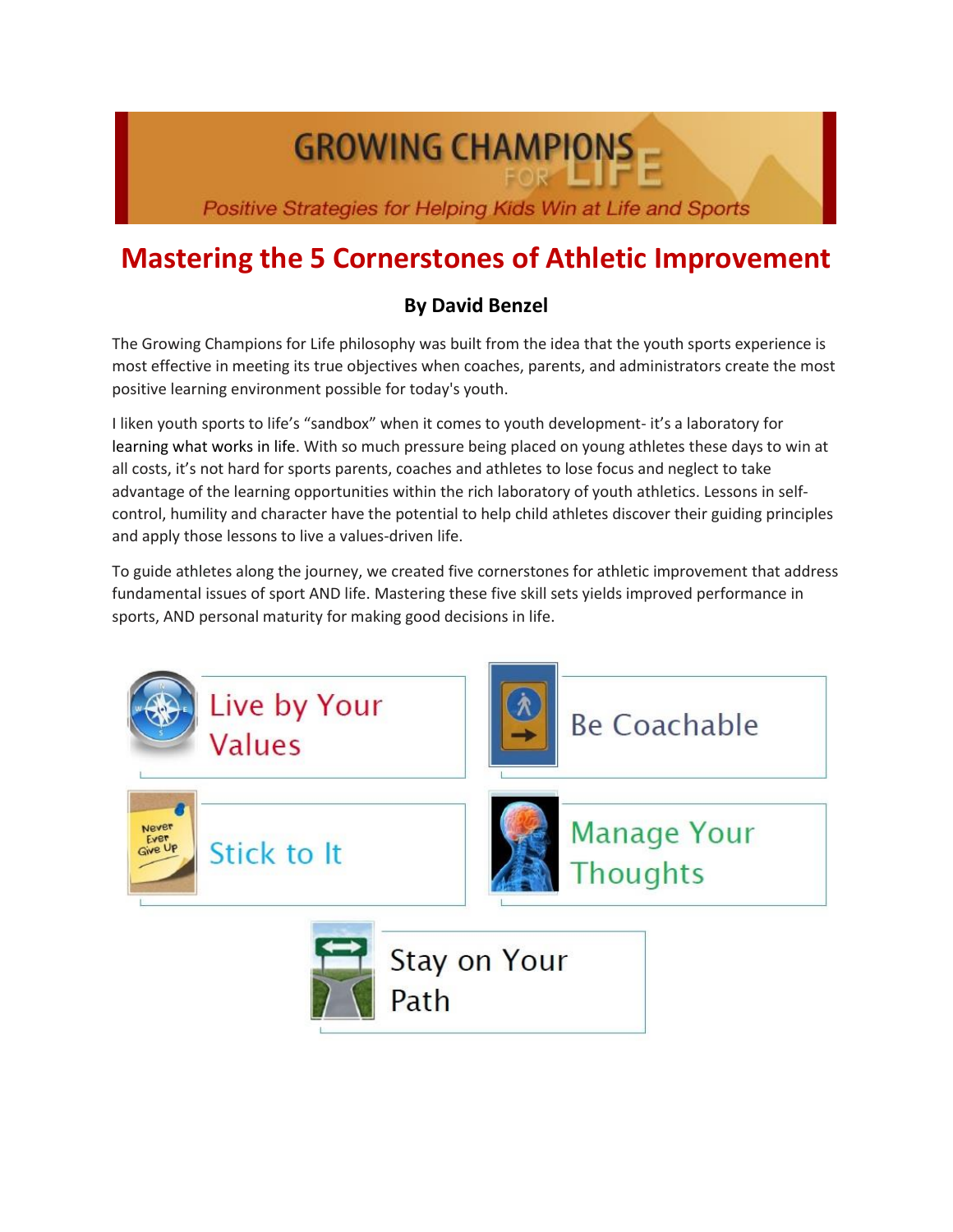# **GROWING CHAMPIONS**

Positive Strategies for Helping Kids Win at Life and Sports

## **Mastering the 5 Cornerstones of Athletic Improvement**

### **By David Benzel**

The Growing Champions for Life philosophy was built from the idea that the youth sports experience is most effective in meeting its true objectives when coaches, parents, and administrators create the most positive learning environment possible for today's youth.

I liken youth sports to life's "sandbox" when it comes to youth development- it's a laboratory for learning what works in life. With so much pressure being placed on young athletes these days to win at all costs, it's not hard for sports parents, coaches and athletes to lose focus and neglect to take advantage of the learning opportunities within the rich laboratory of youth athletics. Lessons in selfcontrol, humility and character have the potential to help child athletes discover their guiding principles and apply those lessons to live a values-driven life.

To guide athletes along the journey, we created five cornerstones for athletic improvement that address fundamental issues of sport AND life. Mastering these five skill sets yields improved performance in sports, AND personal maturity for making good decisions in life.

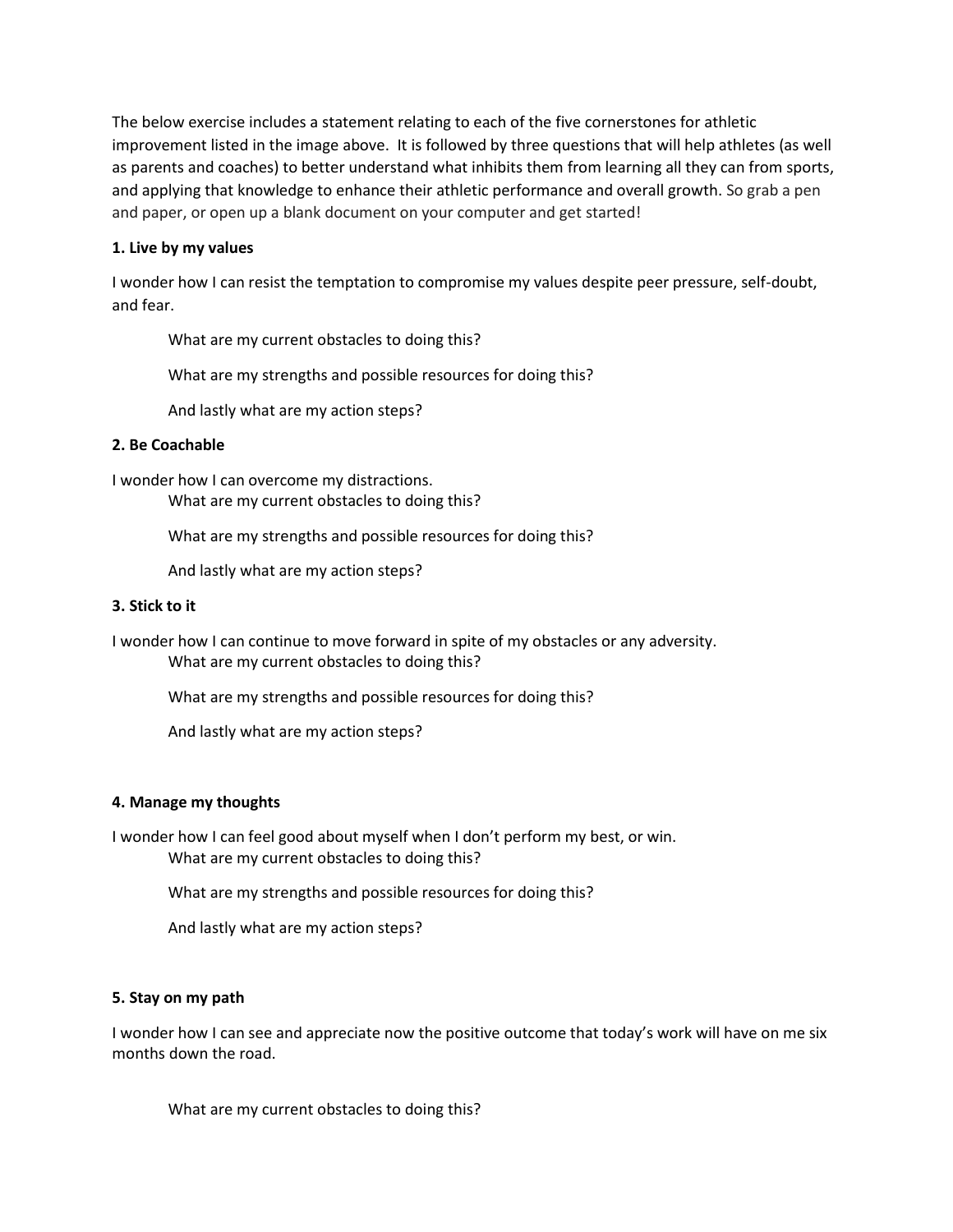The below exercise includes a statement relating to each of the five cornerstones for athletic improvement listed in the image above. It is followed by three questions that will help athletes (as well as parents and coaches) to better understand what inhibits them from learning all they can from sports, and applying that knowledge to enhance their athletic performance and overall growth. So grab a pen and paper, or open up a blank document on your computer and get started!

#### **1. Live by my values**

I wonder how I can resist the temptation to compromise my values despite peer pressure, self-doubt, and fear.

What are my current obstacles to doing this?

What are my strengths and possible resources for doing this?

And lastly what are my action steps?

#### **2. Be Coachable**

I wonder how I can overcome my distractions. What are my current obstacles to doing this?

What are my strengths and possible resources for doing this?

And lastly what are my action steps?

#### **3. Stick to it**

I wonder how I can continue to move forward in spite of my obstacles or any adversity. What are my current obstacles to doing this?

What are my strengths and possible resources for doing this?

And lastly what are my action steps?

#### **4. Manage my thoughts**

I wonder how I can feel good about myself when I don't perform my best, or win. What are my current obstacles to doing this?

What are my strengths and possible resources for doing this?

And lastly what are my action steps?

#### **5. Stay on my path**

I wonder how I can see and appreciate now the positive outcome that today's work will have on me six months down the road.

What are my current obstacles to doing this?